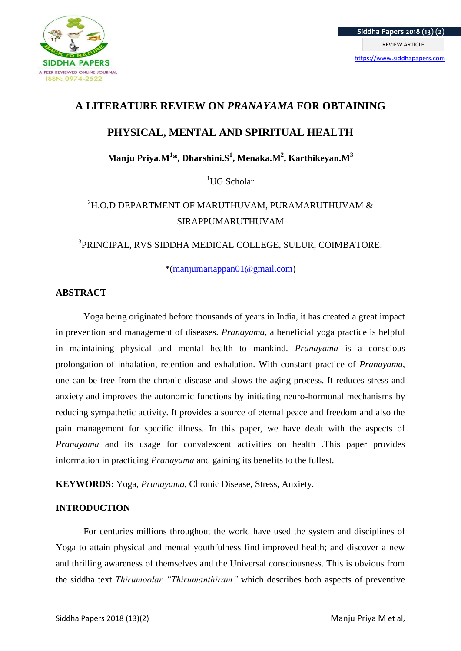

# **A LITERATURE REVIEW ON** *PRANAYAMA* **FOR OBTAINING**

# **PHYSICAL, MENTAL AND SPIRITUAL HEALTH**

**Manju Priya.M<sup>1</sup> \*, Dharshini.S<sup>1</sup> , Menaka.M<sup>2</sup> , Karthikeyan.M<sup>3</sup>**

 ${}^{1}$ UG Scholar

# $2H$ .O.D DEPARTMENT OF MARUTHUVAM, PURAMARUTHUVAM & SIRAPPUMARUTHUVAM

# 3 PRINCIPAL, RVS SIDDHA MEDICAL COLLEGE, SULUR, COIMBATORE.

\*[\(manjumariappan01@gmail.com\)](mailto:manjumariappan01@gmail.com)

# **ABSTRACT**

Yoga being originated before thousands of years in India, it has created a great impact in prevention and management of diseases. *Pranayama*, a beneficial yoga practice is helpful in maintaining physical and mental health to mankind. *Pranayama* is a conscious prolongation of inhalation, retention and exhalation. With constant practice of *Pranayama*, one can be free from the chronic disease and slows the aging process. It reduces stress and anxiety and improves the autonomic functions by initiating neuro-hormonal mechanisms by reducing sympathetic activity. It provides a source of eternal peace and freedom and also the pain management for specific illness. In this paper, we have dealt with the aspects of *Pranayama* and its usage for convalescent activities on health .This paper provides information in practicing *Pranayama* and gaining its benefits to the fullest.

**KEYWORDS:** Yoga, *Pranayama*, Chronic Disease, Stress, Anxiety.

# **INTRODUCTION**

For centuries millions throughout the world have used the system and disciplines of Yoga to attain physical and mental youthfulness find improved health; and discover a new and thrilling awareness of themselves and the Universal consciousness. This is obvious from the siddha text *Thirumoolar "Thirumanthiram"* which describes both aspects of preventive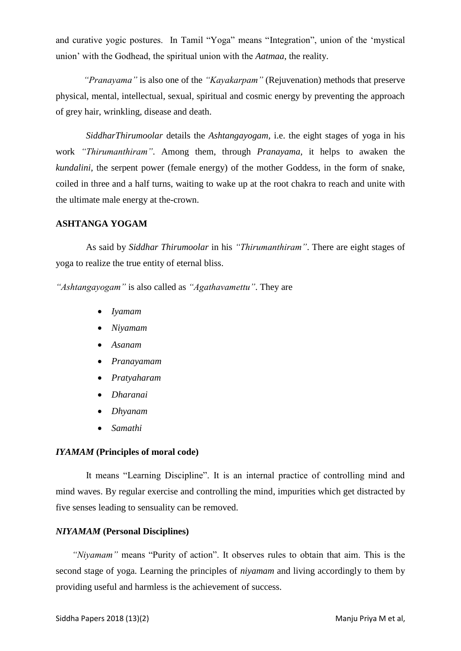and curative yogic postures. In Tamil "Yoga" means "Integration", union of the "mystical union" with the Godhead, the spiritual union with the *Aatmaa*, the reality.

*"Pranayama"* is also one of the *"Kayakarpam"* (Rejuvenation) methods that preserve physical, mental, intellectual, sexual, spiritual and cosmic energy by preventing the approach of grey hair, wrinkling, disease and death.

*SiddharThirumoolar* details the *Ashtangayogam,* i.e. the eight stages of yoga in his work *"Thirumanthiram"*. Among them, through *Pranayama*, it helps to awaken the *kundalini*, the serpent power (female energy) of the mother Goddess, in the form of snake, coiled in three and a half turns, waiting to wake up at the root chakra to reach and unite with the ultimate male energy at the-crown.

# **ASHTANGA YOGAM**

 As said by *Siddhar Thirumoolar* in his *"Thirumanthiram"*. There are eight stages of yoga to realize the true entity of eternal bliss.

*"Ashtangayogam"* is also called as *"Agathavamettu"*. They are

- *Iyamam*
- *Niyamam*
- *Asanam*
- *Pranayamam*
- *Pratyaharam*
- *Dharanai*
- *Dhyanam*
- *Samathi*

# *IYAMAM* **(Principles of moral code)**

 It means "Learning Discipline". It is an internal practice of controlling mind and mind waves. By regular exercise and controlling the mind, impurities which get distracted by five senses leading to sensuality can be removed.

# *NIYAMAM* **(Personal Disciplines)**

 *"Niyamam"* means "Purity of action". It observes rules to obtain that aim. This is the second stage of yoga. Learning the principles of *niyamam* and living accordingly to them by providing useful and harmless is the achievement of success.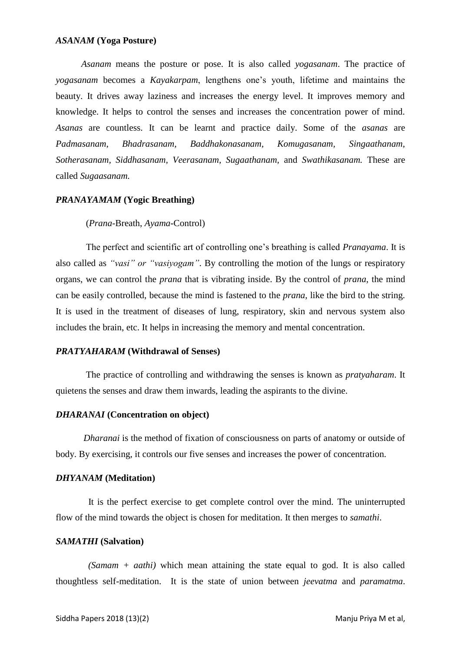#### *ASANAM* **(Yoga Posture)**

 *Asanam* means the posture or pose. It is also called *yogasanam*. The practice of *yogasanam* becomes a *Kayakarpam*, lengthens one"s youth, lifetime and maintains the beauty. It drives away laziness and increases the energy level. It improves memory and knowledge. It helps to control the senses and increases the concentration power of mind. *Asanas* are countless. It can be learnt and practice daily. Some of the *asanas* are *Padmasanam, Bhadrasanam, Baddhakonasanam, Komugasanam, Singaathanam, Sotherasanam, Siddhasanam, Veerasanam, Sugaathanam,* and *Swathikasanam.* These are called *Sugaasanam.*

# *PRANAYAMAM* **(Yogic Breathing)**

# (*Prana*-Breath, *Ayama*-Control)

 The perfect and scientific art of controlling one"s breathing is called *Pranayama*. It is also called as *"vasi" or "vasiyogam"*. By controlling the motion of the lungs or respiratory organs, we can control the *prana* that is vibrating inside. By the control of *prana*, the mind can be easily controlled, because the mind is fastened to the *prana*, like the bird to the string. It is used in the treatment of diseases of lung, respiratory, skin and nervous system also includes the brain, etc. It helps in increasing the memory and mental concentration.

#### *PRATYAHARAM* **(Withdrawal of Senses)**

 The practice of controlling and withdrawing the senses is known as *pratyaharam*. It quietens the senses and draw them inwards, leading the aspirants to the divine.

# *DHARANAI* **(Concentration on object)**

 *Dharanai* is the method of fixation of consciousness on parts of anatomy or outside of body. By exercising, it controls our five senses and increases the power of concentration.

# *DHYANAM* **(Meditation)**

 It is the perfect exercise to get complete control over the mind. The uninterrupted flow of the mind towards the object is chosen for meditation. It then merges to *samathi*.

#### *SAMATHI* **(Salvation)**

 *(Samam + aathi)* which mean attaining the state equal to god. It is also called thoughtless self-meditation. It is the state of union between *jeevatma* and *paramatma*.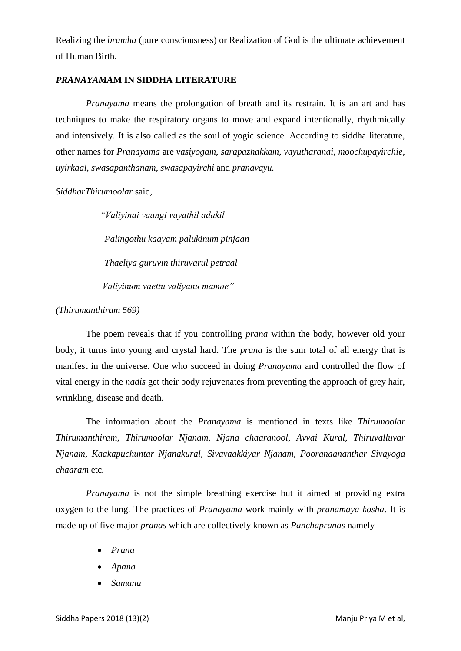Realizing the *bramha* (pure consciousness) or Realization of God is the ultimate achievement of Human Birth.

# *PRANAYAMA***M IN SIDDHA LITERATURE**

 *Pranayama* means the prolongation of breath and its restrain. It is an art and has techniques to make the respiratory organs to move and expand intentionally, rhythmically and intensively. It is also called as the soul of yogic science. According to siddha literature, other names for *Pranayama* are *vasiyogam, sarapazhakkam, vayutharanai, moochupayirchie, uyirkaal, swasapanthanam, swasapayirchi* and *pranavayu.*

*SiddharThirumoolar* said,

 *"Valiyinai vaangi vayathil adakil Palingothu kaayam palukinum pinjaan Thaeliya guruvin thiruvarul petraal Valiyinum vaettu valiyanu mamae"*

#### *(Thirumanthiram 569)*

 The poem reveals that if you controlling *prana* within the body, however old your body, it turns into young and crystal hard. The *prana* is the sum total of all energy that is manifest in the universe. One who succeed in doing *Pranayama* and controlled the flow of vital energy in the *nadis* get their body rejuvenates from preventing the approach of grey hair, wrinkling, disease and death.

 The information about the *Pranayama* is mentioned in texts like *Thirumoolar Thirumanthiram, Thirumoolar Njanam, Njana chaaranool, Avvai Kural, Thiruvalluvar Njanam, Kaakapuchuntar Njanakural, Sivavaakkiyar Njanam, Pooranaananthar Sivayoga chaaram* etc*.*

*Pranayama* is not the simple breathing exercise but it aimed at providing extra oxygen to the lung. The practices of *Pranayama* work mainly with *pranamaya kosha*. It is made up of five major *pranas* which are collectively known as *Panchapranas* namely

- *Prana*
- *Apana*
- *Samana*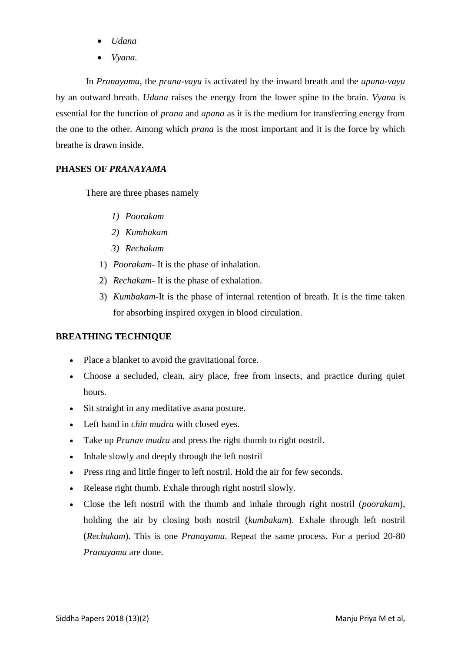- *Udana*
- *Vyana.*

 In *Pranayama*, the *prana-vayu* is activated by the inward breath and the *apana-vayu*  by an outward breath. *Udana* raises the energy from the lower spine to the brain. *Vyana* is essential for the function of *prana* and *apana* as it is the medium for transferring energy from the one to the other. Among which *prana* is the most important and it is the force by which breathe is drawn inside.

# **PHASES OF** *PRANAYAMA*

There are three phases namely

- *1) Poorakam*
- *2) Kumbakam*
- *3) Rechakam*
- 1) *Poorakam* It is the phase of inhalation.
- 2) *Rechakam* It is the phase of exhalation.
- 3) *Kumbakam*-It is the phase of internal retention of breath. It is the time taken for absorbing inspired oxygen in blood circulation.

# **BREATHING TECHNIQUE**

- Place a blanket to avoid the gravitational force.
- Choose a secluded, clean, airy place, free from insects, and practice during quiet hours.
- Sit straight in any meditative as an aposture.
- Left hand in *chin mudra* with closed eyes.
- Take up *Pranav mudra* and press the right thumb to right nostril.
- Inhale slowly and deeply through the left nostril
- Press ring and little finger to left nostril. Hold the air for few seconds.
- Release right thumb. Exhale through right nostril slowly.
- Close the left nostril with the thumb and inhale through right nostril (*poorakam*), holding the air by closing both nostril (*kumbakam*). Exhale through left nostril (*Rechakam*). This is one *Pranayama*. Repeat the same process. For a period 20-80 *Pranayama* are done.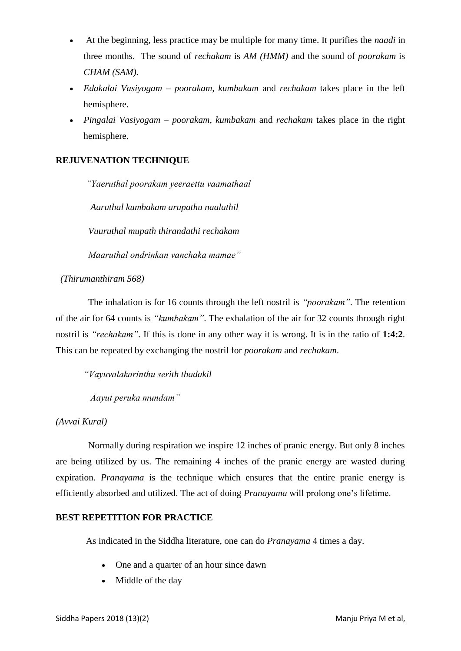- At the beginning, less practice may be multiple for many time. It purifies the *naadi* in three months. The sound of *rechakam* is *AM (HMM)* and the sound of *poorakam* is *CHAM (SAM).*
- *Edakalai Vasiyogam poorakam, kumbakam* and *rechakam* takes place in the left hemisphere.
- *Pingalai Vasiyogam poorakam, kumbakam* and *rechakam* takes place in the right hemisphere.

# **REJUVENATION TECHNIQUE**

 *"Yaeruthal poorakam yeeraettu vaamathaal*

 *Aaruthal kumbakam arupathu naalathil*

 *Vuuruthal mupath thirandathi rechakam*

 *Maaruthal ondrinkan vanchaka mamae"*

 *(Thirumanthiram 568)*

 The inhalation is for 16 counts through the left nostril is *"poorakam"*. The retention of the air for 64 counts is *"kumbakam"*. The exhalation of the air for 32 counts through right nostril is *"rechakam"*. If this is done in any other way it is wrong. It is in the ratio of **1:4:2**. This can be repeated by exchanging the nostril for *poorakam* and *rechakam*.

*"Vayuvalakarinthu serith thadakil*

 *Aayut peruka mundam"*

*(Avvai Kural)*

 Normally during respiration we inspire 12 inches of pranic energy. But only 8 inches are being utilized by us. The remaining 4 inches of the pranic energy are wasted during expiration. *Pranayama* is the technique which ensures that the entire pranic energy is efficiently absorbed and utilized. The act of doing *Pranayama* will prolong one's lifetime.

# **BEST REPETITION FOR PRACTICE**

As indicated in the Siddha literature, one can do *Pranayama* 4 times a day.

- One and a quarter of an hour since dawn
- Middle of the day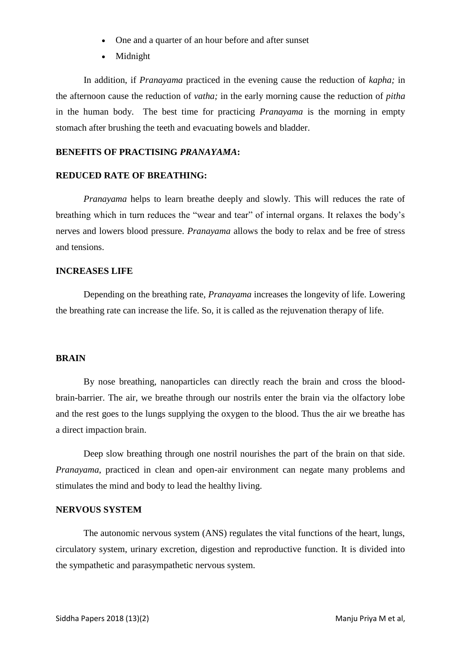- One and a quarter of an hour before and after sunset
- Midnight

 In addition, if *Pranayama* practiced in the evening cause the reduction of *kapha;* in the afternoon cause the reduction of *vatha;* in the early morning cause the reduction of *pitha* in the human body. The best time for practicing *Pranayama* is the morning in empty stomach after brushing the teeth and evacuating bowels and bladder.

# **BENEFITS OF PRACTISING** *PRANAYAMA***:**

# **REDUCED RATE OF BREATHING:**

*Pranayama* helps to learn breathe deeply and slowly. This will reduces the rate of breathing which in turn reduces the "wear and tear" of internal organs. It relaxes the body"s nerves and lowers blood pressure. *Pranayama* allows the body to relax and be free of stress and tensions.

# **INCREASES LIFE**

Depending on the breathing rate, *Pranayama* increases the longevity of life. Lowering the breathing rate can increase the life. So, it is called as the rejuvenation therapy of life.

# **BRAIN**

By nose breathing, nanoparticles can directly reach the brain and cross the bloodbrain-barrier. The air, we breathe through our nostrils enter the brain via the olfactory lobe and the rest goes to the lungs supplying the oxygen to the blood. Thus the air we breathe has a direct impaction brain.

Deep slow breathing through one nostril nourishes the part of the brain on that side. *Pranayama*, practiced in clean and open-air environment can negate many problems and stimulates the mind and body to lead the healthy living.

# **NERVOUS SYSTEM**

The autonomic nervous system (ANS) regulates the vital functions of the heart, lungs, circulatory system, urinary excretion, digestion and reproductive function. It is divided into the sympathetic and parasympathetic nervous system.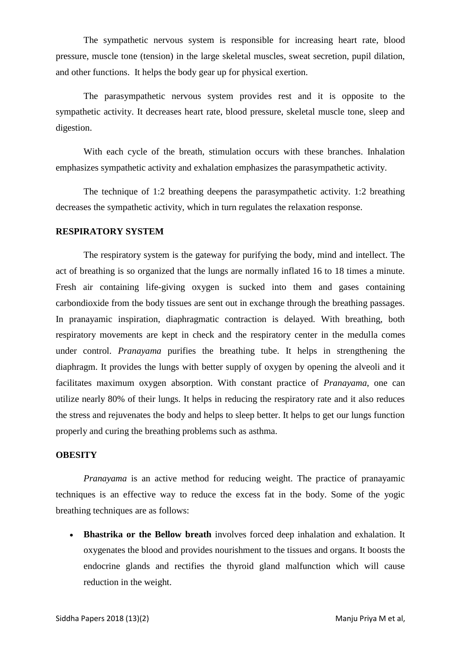The sympathetic nervous system is responsible for increasing heart rate, blood pressure, muscle tone (tension) in the large skeletal muscles, sweat secretion, pupil dilation, and other functions. It helps the body gear up for physical exertion.

The parasympathetic nervous system provides rest and it is opposite to the sympathetic activity. It decreases heart rate, blood pressure, skeletal muscle tone, sleep and digestion.

With each cycle of the breath, stimulation occurs with these branches. Inhalation emphasizes sympathetic activity and exhalation emphasizes the parasympathetic activity.

The technique of 1:2 breathing deepens the parasympathetic activity. 1:2 breathing decreases the sympathetic activity, which in turn regulates the relaxation response.

#### **RESPIRATORY SYSTEM**

The respiratory system is the gateway for purifying the body, mind and intellect. The act of breathing is so organized that the lungs are normally inflated 16 to 18 times a minute. Fresh air containing life-giving oxygen is sucked into them and gases containing carbondioxide from the body tissues are sent out in exchange through the breathing passages. In pranayamic inspiration, diaphragmatic contraction is delayed. With breathing, both respiratory movements are kept in check and the respiratory center in the medulla comes under control. *Pranayama* purifies the breathing tube. It helps in strengthening the diaphragm. It provides the lungs with better supply of oxygen by opening the alveoli and it facilitates maximum oxygen absorption. With constant practice of *Pranayama*, one can utilize nearly 80% of their lungs. It helps in reducing the respiratory rate and it also reduces the stress and rejuvenates the body and helps to sleep better. It helps to get our lungs function properly and curing the breathing problems such as asthma.

# **OBESITY**

*Pranayama* is an active method for reducing weight. The practice of pranayamic techniques is an effective way to reduce the excess fat in the body. Some of the yogic breathing techniques are as follows:

 **Bhastrika or the Bellow breath** involves forced deep inhalation and exhalation. It oxygenates the blood and provides nourishment to the tissues and organs. It boosts the endocrine glands and rectifies the thyroid gland malfunction which will cause reduction in the weight.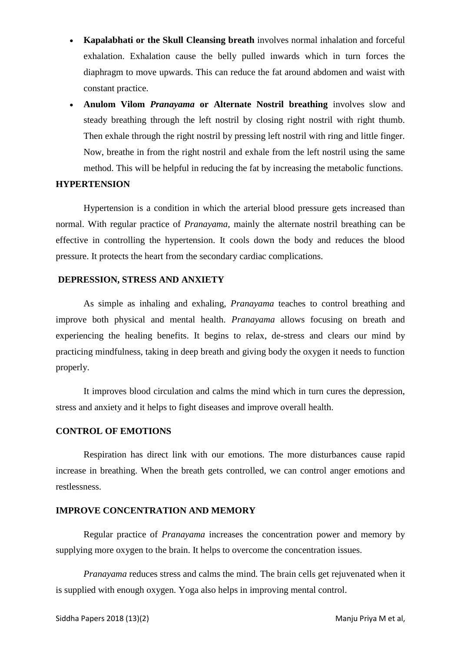- **Kapalabhati or the Skull Cleansing breath** involves normal inhalation and forceful exhalation. Exhalation cause the belly pulled inwards which in turn forces the diaphragm to move upwards. This can reduce the fat around abdomen and waist with constant practice.
- **Anulom Vilom** *Pranayama* **or Alternate Nostril breathing** involves slow and steady breathing through the left nostril by closing right nostril with right thumb. Then exhale through the right nostril by pressing left nostril with ring and little finger. Now, breathe in from the right nostril and exhale from the left nostril using the same method. This will be helpful in reducing the fat by increasing the metabolic functions.

# **HYPERTENSION**

Hypertension is a condition in which the arterial blood pressure gets increased than normal. With regular practice of *Pranayama*, mainly the alternate nostril breathing can be effective in controlling the hypertension. It cools down the body and reduces the blood pressure. It protects the heart from the secondary cardiac complications.

# **DEPRESSION, STRESS AND ANXIETY**

As simple as inhaling and exhaling, *Pranayama* teaches to control breathing and improve both physical and mental health. *Pranayama* allows focusing on breath and experiencing the healing benefits. It begins to relax, de-stress and clears our mind by practicing mindfulness, taking in deep breath and giving body the oxygen it needs to function properly.

It improves blood circulation and calms the mind which in turn cures the depression, stress and anxiety and it helps to fight diseases and improve overall health.

# **CONTROL OF EMOTIONS**

Respiration has direct link with our emotions. The more disturbances cause rapid increase in breathing. When the breath gets controlled, we can control anger emotions and restlessness.

# **IMPROVE CONCENTRATION AND MEMORY**

Regular practice of *Pranayama* increases the concentration power and memory by supplying more oxygen to the brain. It helps to overcome the concentration issues.

*Pranayama* reduces stress and calms the mind. The brain cells get rejuvenated when it is supplied with enough oxygen. Yoga also helps in improving mental control.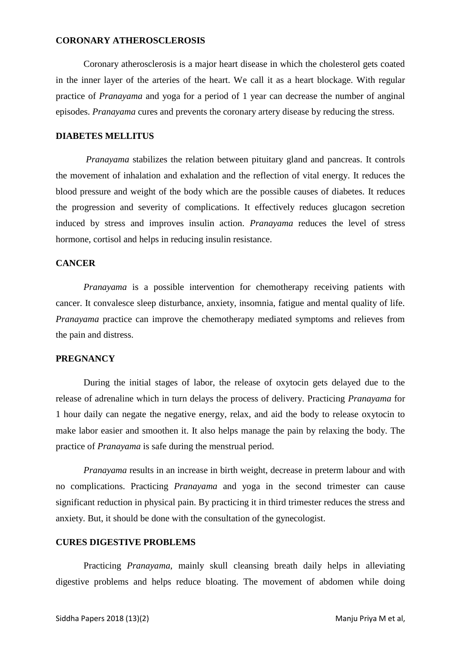# **CORONARY ATHEROSCLEROSIS**

Coronary atherosclerosis is a major heart disease in which the cholesterol gets coated in the inner layer of the arteries of the heart. We call it as a heart blockage. With regular practice of *Pranayama* and yoga for a period of 1 year can decrease the number of anginal episodes. *Pranayama* cures and prevents the coronary artery disease by reducing the stress.

# **DIABETES MELLITUS**

 *Pranayama* stabilizes the relation between pituitary gland and pancreas. It controls the movement of inhalation and exhalation and the reflection of vital energy. It reduces the blood pressure and weight of the body which are the possible causes of diabetes. It reduces the progression and severity of complications. It effectively reduces glucagon secretion induced by stress and improves insulin action. *Pranayama* reduces the level of stress hormone, cortisol and helps in reducing insulin resistance.

# **CANCER**

*Pranayama* is a possible intervention for chemotherapy receiving patients with cancer. It convalesce sleep disturbance, anxiety, insomnia, fatigue and mental quality of life. *Pranayama* practice can improve the chemotherapy mediated symptoms and relieves from the pain and distress.

# **PREGNANCY**

During the initial stages of labor, the release of oxytocin gets delayed due to the release of adrenaline which in turn delays the process of delivery. Practicing *Pranayama* for 1 hour daily can negate the negative energy, relax, and aid the body to release oxytocin to make labor easier and smoothen it. It also helps manage the pain by relaxing the body. The practice of *Pranayama* is safe during the menstrual period.

*Pranayama* results in an increase in birth weight, decrease in preterm labour and with no complications. Practicing *Pranayama* and yoga in the second trimester can cause significant reduction in physical pain. By practicing it in third trimester reduces the stress and anxiety. But, it should be done with the consultation of the gynecologist.

# **CURES DIGESTIVE PROBLEMS**

Practicing *Pranayama*, mainly skull cleansing breath daily helps in alleviating digestive problems and helps reduce bloating. The movement of abdomen while doing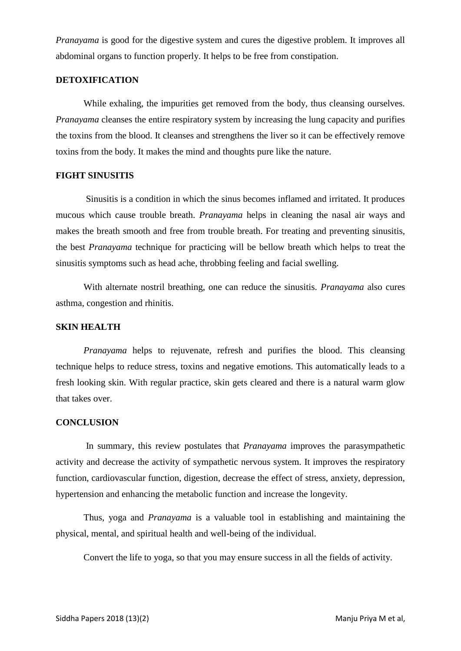*Pranayama* is good for the digestive system and cures the digestive problem. It improves all abdominal organs to function properly. It helps to be free from constipation.

# **DETOXIFICATION**

While exhaling, the impurities get removed from the body, thus cleansing ourselves. *Pranayama* cleanses the entire respiratory system by increasing the lung capacity and purifies the toxins from the blood. It cleanses and strengthens the liver so it can be effectively remove toxins from the body. It makes the mind and thoughts pure like the nature.

# **FIGHT SINUSITIS**

Sinusitis is a condition in which the sinus becomes inflamed and irritated. It produces mucous which cause trouble breath. *Pranayama* helps in cleaning the nasal air ways and makes the breath smooth and free from trouble breath. For treating and preventing sinusitis, the best *Pranayama* technique for practicing will be bellow breath which helps to treat the sinusitis symptoms such as head ache, throbbing feeling and facial swelling.

With alternate nostril breathing, one can reduce the sinusitis. *Pranayama* also cures asthma, congestion and rhinitis.

# **SKIN HEALTH**

*Pranayama* helps to rejuvenate, refresh and purifies the blood. This cleansing technique helps to reduce stress, toxins and negative emotions. This automatically leads to a fresh looking skin. With regular practice, skin gets cleared and there is a natural warm glow that takes over.

# **CONCLUSION**

In summary, this review postulates that *Pranayama* improves the parasympathetic activity and decrease the activity of sympathetic nervous system. It improves the respiratory function, cardiovascular function, digestion, decrease the effect of stress, anxiety, depression, hypertension and enhancing the metabolic function and increase the longevity.

Thus, yoga and *Pranayama* is a valuable tool in establishing and maintaining the physical, mental, and spiritual health and well-being of the individual.

Convert the life to yoga, so that you may ensure success in all the fields of activity.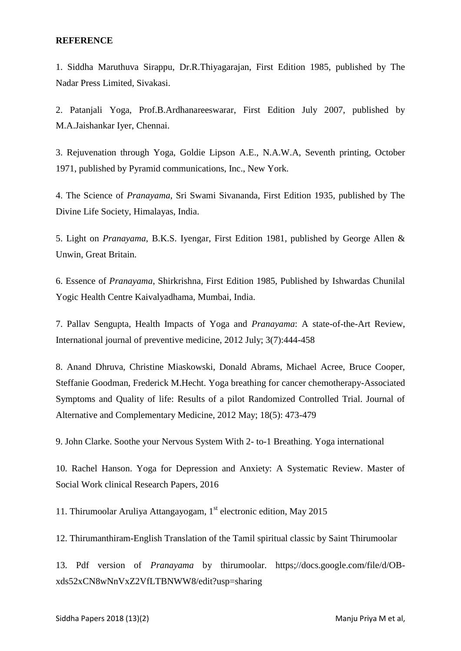# **REFERENCE**

1. Siddha Maruthuva Sirappu, Dr.R.Thiyagarajan, First Edition 1985, published by The Nadar Press Limited, Sivakasi.

2. Patanjali Yoga, Prof.B.Ardhanareeswarar, First Edition July 2007, published by M.A.Jaishankar Iyer, Chennai.

3. Rejuvenation through Yoga, Goldie Lipson A.E., N.A.W.A, Seventh printing, October 1971, published by Pyramid communications, Inc., New York.

4. The Science of *Pranayama*, Sri Swami Sivananda, First Edition 1935, published by The Divine Life Society, Himalayas, India.

5. Light on *Pranayama*, B.K.S. Iyengar, First Edition 1981, published by George Allen & Unwin, Great Britain.

6. Essence of *Pranayama*, Shirkrishna, First Edition 1985, Published by Ishwardas Chunilal Yogic Health Centre Kaivalyadhama, Mumbai, India.

7. Pallav Sengupta, Health Impacts of Yoga and *Pranayama*: A state-of-the-Art Review, International journal of preventive medicine, 2012 July; 3(7):444-458

8. Anand Dhruva, Christine Miaskowski, Donald Abrams, Michael Acree, Bruce Cooper, Steffanie Goodman, Frederick M.Hecht. Yoga breathing for cancer chemotherapy-Associated Symptoms and Quality of life: Results of a pilot Randomized Controlled Trial. Journal of Alternative and Complementary Medicine, 2012 May; 18(5): 473-479

9. John Clarke. Soothe your Nervous System With 2- to-1 Breathing. Yoga international

10. Rachel Hanson. Yoga for Depression and Anxiety: A Systematic Review. Master of Social Work clinical Research Papers, 2016

11. Thirumoolar Aruliya Attangayogam,  $1<sup>st</sup>$  electronic edition, May 2015

12. Thirumanthiram-English Translation of the Tamil spiritual classic by Saint Thirumoolar

13. Pdf version of *Pranayama* by thirumoolar. https;//docs.google.com/file/d/OBxds52xCN8wNnVxZ2VfLTBNWW8/edit?usp=sharing